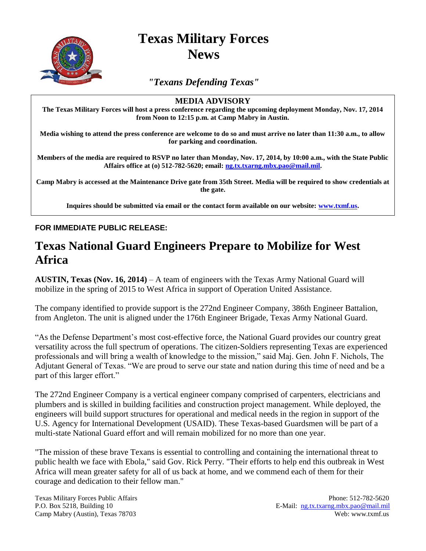

## **Texas Military Forces News**

*"Texans Defending Texas"*

## **MEDIA ADVISORY**

**The Texas Military Forces will host a press conference regarding the upcoming deployment Monday, Nov. 17, 2014 from Noon to 12:15 p.m. at Camp Mabry in Austin.**

**Media wishing to attend the press conference are welcome to do so and must arrive no later than 11:30 a.m., to allow for parking and coordination.** 

**Members of the media are required to RSVP no later than Monday, Nov. 17, 2014, by 10:00 a.m., with the State Public Affairs office at (o) 512-782-5620; email: [ng.tx.txarng.mbx.pao@mail.mil.](mailto:ng.tx.txarng.mbx.pao@mail.mil)** 

**Camp Mabry is accessed at the Maintenance Drive gate from 35th Street. Media will be required to show credentials at the gate.**

**Inquires should be submitted via email or the contact form available on our website: [www.txmf.us.](http://www.txmf.us/)**

## **FOR IMMEDIATE PUBLIC RELEASE:**

## **Texas National Guard Engineers Prepare to Mobilize for West Africa**

**AUSTIN, Texas (Nov. 16, 2014)** – A team of engineers with the Texas Army National Guard will mobilize in the spring of 2015 to West Africa in support of Operation United Assistance.

The company identified to provide support is the 272nd Engineer Company, 386th Engineer Battalion, from Angleton. The unit is aligned under the 176th Engineer Brigade, Texas Army National Guard.

"As the Defense Department's most cost-effective force, the National Guard provides our country great versatility across the full spectrum of operations. The citizen-Soldiers representing Texas are experienced professionals and will bring a wealth of knowledge to the mission," said Maj. Gen. John F. Nichols, The Adjutant General of Texas. "We are proud to serve our state and nation during this time of need and be a part of this larger effort."

The 272nd Engineer Company is a vertical engineer company comprised of carpenters, electricians and plumbers and is skilled in building facilities and construction project management. While deployed, the engineers will build support structures for operational and medical needs in the region in support of the U.S. Agency for International Development (USAID). These Texas-based Guardsmen will be part of a multi-state National Guard effort and will remain mobilized for no more than one year.

"The mission of these brave Texans is essential to controlling and containing the international threat to public health we face with Ebola," said Gov. Rick Perry. "Their efforts to help end this outbreak in West Africa will mean greater safety for all of us back at home, and we commend each of them for their courage and dedication to their fellow man."